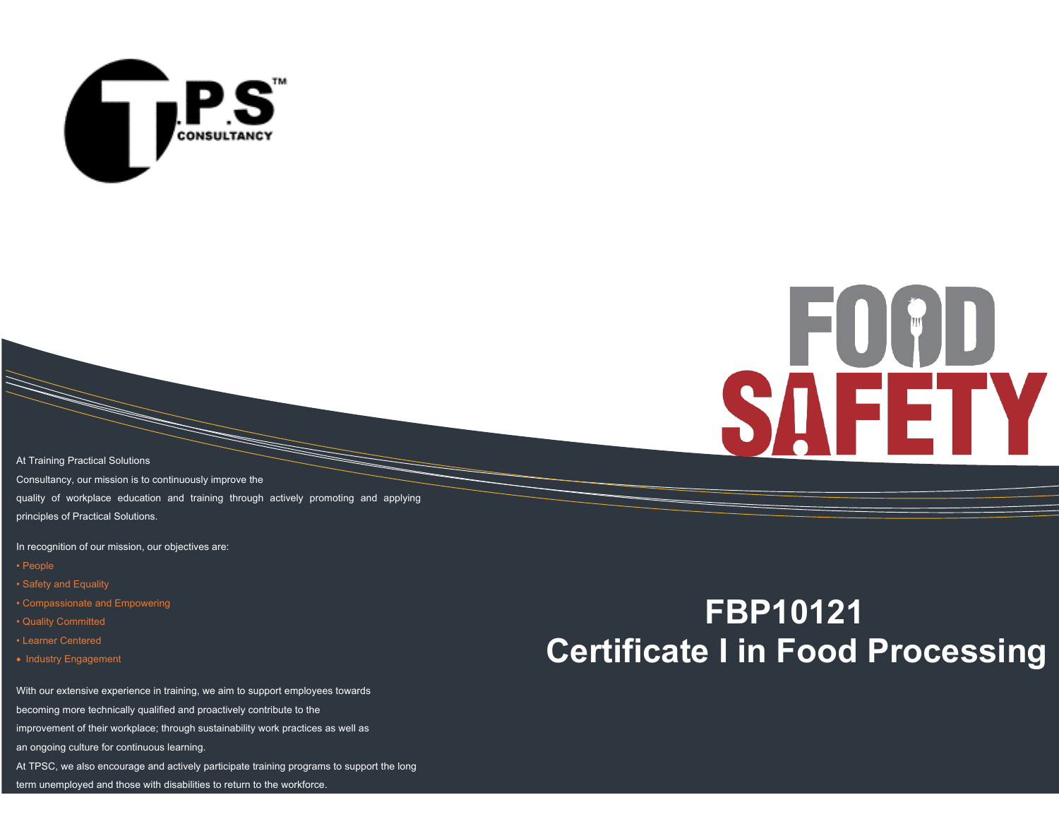

# FOCD **SAFETY**

At Training Practical Solutions Consultancy, our mission is to continuously improve the quality of workplace education and training through actively promoting and applying principles of Practical Solutions.

In recognition of our mission, our objectives are:

- People
- Safety and Equality
- Compassionate and Empowering
- Quality Committed
- Learner Centered
- Industry Engagement

With our extensive experience in training, we aim to support employees towards

becoming more technically qualified and proactively contribute to the

improvement of their workplace; through sustainability work practices as well as

an ongoing culture for continuous learning.

At TPSC, we also encourage and actively participate training programs to support the long

term unemployed and those with disabilities to return to the workforce.

## **FBP10121 Certificate I in Food Processing**